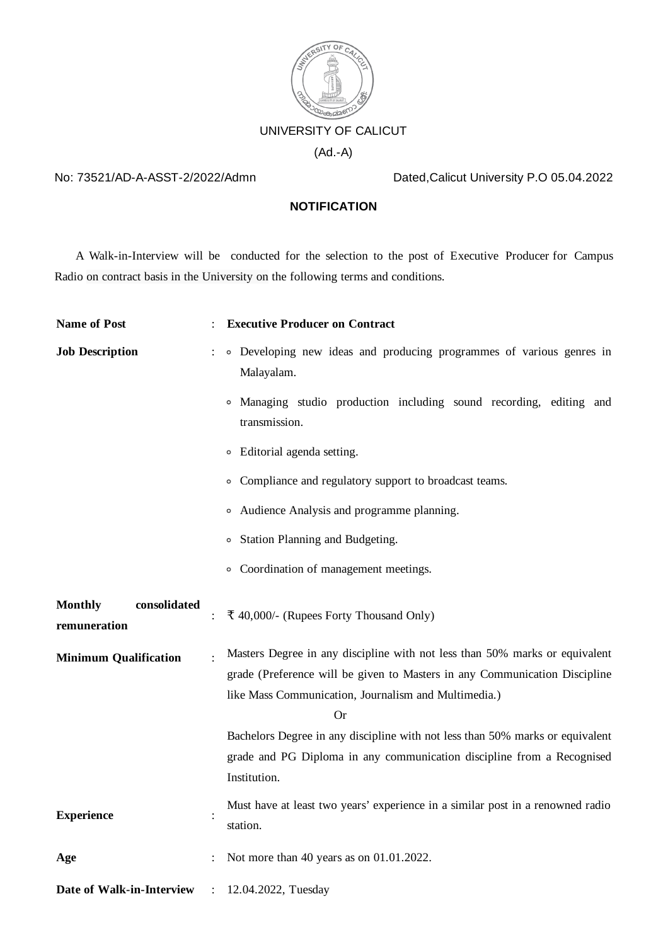

## No: 73521/AD-A-ASST-2/2022/Admn Dated,Calicut University P.O 05.04.2022

## **NOTIFICATION**

A Walk-in-Interview will be conducted for the selection to the post of Executive Producer for Campus Radio on contract basis in the University on the following terms and conditions.

| <b>Name of Post</b>                            |                | <b>Executive Producer on Contract</b>                                                                                                                                                                                   |
|------------------------------------------------|----------------|-------------------------------------------------------------------------------------------------------------------------------------------------------------------------------------------------------------------------|
| <b>Job Description</b>                         |                | • Developing new ideas and producing programmes of various genres in<br>Malayalam.                                                                                                                                      |
|                                                |                | • Managing studio production including sound recording, editing and<br>transmission.                                                                                                                                    |
|                                                |                | • Editorial agenda setting.                                                                                                                                                                                             |
|                                                |                | • Compliance and regulatory support to broadcast teams.                                                                                                                                                                 |
|                                                |                | • Audience Analysis and programme planning.                                                                                                                                                                             |
|                                                |                | <sup>o</sup> Station Planning and Budgeting.                                                                                                                                                                            |
|                                                |                | • Coordination of management meetings.                                                                                                                                                                                  |
| <b>Monthly</b><br>consolidated<br>remuneration |                | ₹ 40,000/- (Rupees Forty Thousand Only)                                                                                                                                                                                 |
| <b>Minimum Qualification</b>                   |                | Masters Degree in any discipline with not less than 50% marks or equivalent<br>grade (Preference will be given to Masters in any Communication Discipline<br>like Mass Communication, Journalism and Multimedia.)<br>Or |
|                                                |                | Bachelors Degree in any discipline with not less than 50% marks or equivalent<br>grade and PG Diploma in any communication discipline from a Recognised<br>Institution.                                                 |
| <b>Experience</b>                              |                | Must have at least two years' experience in a similar post in a renowned radio<br>station.                                                                                                                              |
| Age                                            |                | Not more than 40 years as on 01.01.2022.                                                                                                                                                                                |
| Date of Walk-in-Interview                      | $\ddot{\cdot}$ | 12.04.2022, Tuesday                                                                                                                                                                                                     |